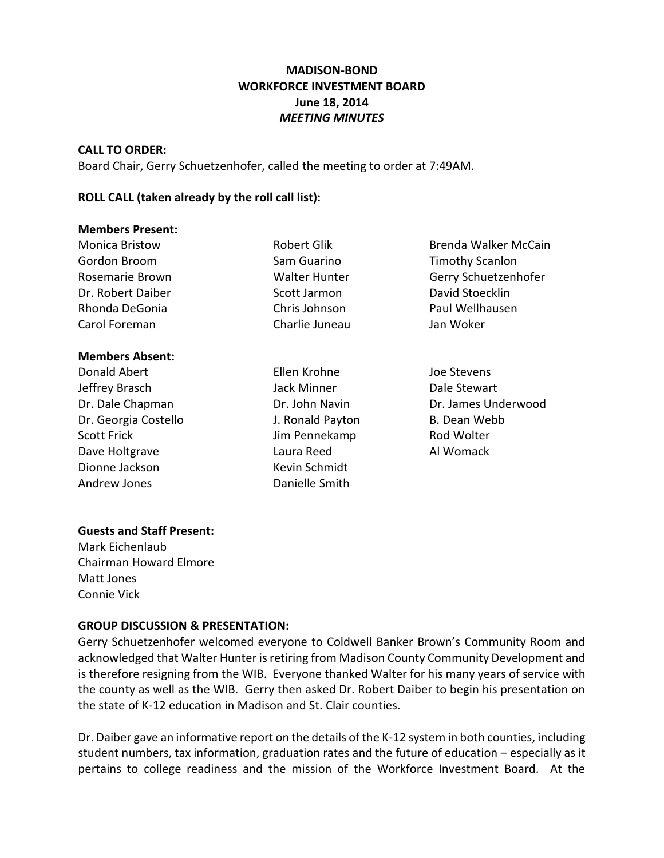# **MADISON-BOND WORKFORCE INVESTMENT BOARD June 18, 2014** *MEETING MINUTES*

#### **CALL TO ORDER:**

Board Chair, Gerry Schuetzenhofer, called the meeting to order at 7:49AM.

### **ROLL CALL (taken already by the roll call list):**

#### **Members Present:**

| <b>Monica Bristow</b> | Robert Glik          | <b>Brenda Walker McCain</b> |
|-----------------------|----------------------|-----------------------------|
| Gordon Broom          | Sam Guarino          | <b>Timothy Scanlon</b>      |
| Rosemarie Brown       | <b>Walter Hunter</b> | Gerry Schuetzenhofer        |
| Dr. Robert Daiber     | Scott Jarmon         | David Stoecklin             |
| Rhonda DeGonia        | Chris Johnson        | Paul Wellhausen             |
| Carol Foreman         | Charlie Juneau       | Jan Woker                   |
|                       |                      |                             |
|                       |                      |                             |

# **Members Absent:**

- Jeffrey Brasch **Jack Minner** Dale Stewart Dr. Georgia Costello J. Ronald Payton B. Dean Webb Scott Frick **Scott Frick** Jim Pennekamp Rod Wolter Dave Holtgrave **Laura Reed Al Womack** Dionne Jackson Kevin Schmidt Andrew Jones **Danielle Smith**
- Donald Abert Ellen Krohne Joe Stevens
- 
- Dr. Dale Chapman Dr. John Navin Dr. James Underwood

#### **Guests and Staff Present:**

Mark Eichenlaub Chairman Howard Elmore Matt Jones Connie Vick

### **GROUP DISCUSSION & PRESENTATION:**

Gerry Schuetzenhofer welcomed everyone to Coldwell Banker Brown's Community Room and acknowledged that Walter Hunter is retiring from Madison County Community Development and is therefore resigning from the WIB. Everyone thanked Walter for his many years of service with the county as well as the WIB. Gerry then asked Dr. Robert Daiber to begin his presentation on the state of K-12 education in Madison and St. Clair counties.

Dr. Daiber gave an informative report on the details of the K-12 system in both counties, including student numbers, tax information, graduation rates and the future of education – especially as it pertains to college readiness and the mission of the Workforce Investment Board. At the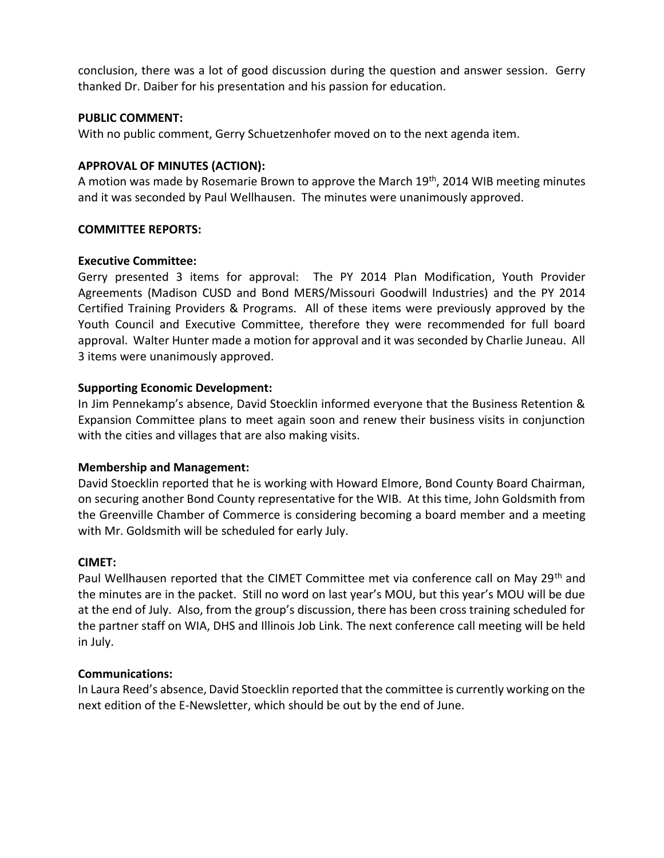conclusion, there was a lot of good discussion during the question and answer session. Gerry thanked Dr. Daiber for his presentation and his passion for education.

### **PUBLIC COMMENT:**

With no public comment, Gerry Schuetzenhofer moved on to the next agenda item.

#### **APPROVAL OF MINUTES (ACTION):**

A motion was made by Rosemarie Brown to approve the March 19th, 2014 WIB meeting minutes and it was seconded by Paul Wellhausen. The minutes were unanimously approved.

#### **COMMITTEE REPORTS:**

#### **Executive Committee:**

Gerry presented 3 items for approval: The PY 2014 Plan Modification, Youth Provider Agreements (Madison CUSD and Bond MERS/Missouri Goodwill Industries) and the PY 2014 Certified Training Providers & Programs. All of these items were previously approved by the Youth Council and Executive Committee, therefore they were recommended for full board approval. Walter Hunter made a motion for approval and it was seconded by Charlie Juneau. All 3 items were unanimously approved.

#### **Supporting Economic Development:**

In Jim Pennekamp's absence, David Stoecklin informed everyone that the Business Retention & Expansion Committee plans to meet again soon and renew their business visits in conjunction with the cities and villages that are also making visits.

### **Membership and Management:**

David Stoecklin reported that he is working with Howard Elmore, Bond County Board Chairman, on securing another Bond County representative for the WIB. At this time, John Goldsmith from the Greenville Chamber of Commerce is considering becoming a board member and a meeting with Mr. Goldsmith will be scheduled for early July.

### **CIMET:**

Paul Wellhausen reported that the CIMET Committee met via conference call on May 29<sup>th</sup> and the minutes are in the packet. Still no word on last year's MOU, but this year's MOU will be due at the end of July. Also, from the group's discussion, there has been cross training scheduled for the partner staff on WIA, DHS and Illinois Job Link. The next conference call meeting will be held in July.

### **Communications:**

In Laura Reed's absence, David Stoecklin reported that the committee is currently working on the next edition of the E-Newsletter, which should be out by the end of June.